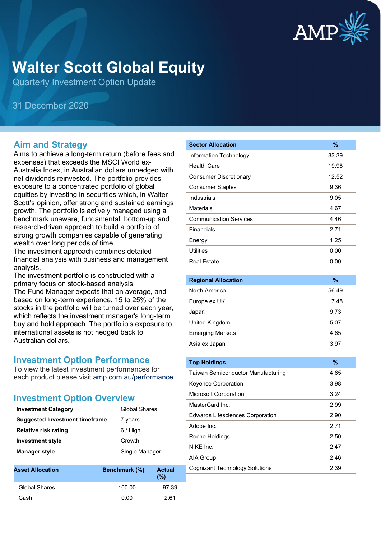

# **Walter Scott Global Equity**

Quarterly Investment Option Update

31 December 2020

#### **Aim and Strategy**

Aims to achieve a long-term return (before fees and expenses) that exceeds the MSCI World ex-Australia Index, in Australian dollars unhedged with net dividends reinvested. The portfolio provides exposure to a concentrated portfolio of global equities by investing in securities which, in Walter Scott's opinion, offer strong and sustained earnings growth. The portfolio is actively managed using a benchmark unaware, fundamental, bottom-up and research-driven approach to build a portfolio of strong growth companies capable of generating wealth over long periods of time.

The investment approach combines detailed financial analysis with business and management analysis.

The investment portfolio is constructed with a primary focus on stock-based analysis.

The Fund Manager expects that on average, and based on long-term experience, 15 to 25% of the stocks in the portfolio will be turned over each year, which reflects the investment manager's long-term buy and hold approach. The portfolio's exposure to international assets is not hedged back to Australian dollars.

### **Investment Option Performance**

To view the latest investment performances for each product please visit [amp.com.au/performance](https://www.amp.com.au/performance)

## **Investment Option Overview**

| <b>Investment Category</b>            | Global Shares  |
|---------------------------------------|----------------|
| <b>Suggested Investment timeframe</b> | 7 years        |
| <b>Relative risk rating</b>           | $6/$ High      |
| <b>Investment style</b>               | Growth         |
| <b>Manager style</b>                  | Single Manager |
|                                       |                |

| <b>Asset Allocation</b> | Benchmark (%) | <b>Actual</b><br>(%) |
|-------------------------|---------------|----------------------|
| Global Shares           | 100.00        | 97.39                |
| Cash                    | 0.00          | 2.61                 |
|                         |               |                      |

| <b>Sector Allocation</b>      | %     |
|-------------------------------|-------|
| Information Technology        | 33.39 |
| <b>Health Care</b>            | 19.98 |
| <b>Consumer Discretionary</b> | 12.52 |
| <b>Consumer Staples</b>       | 9.36  |
| Industrials                   | 9.05  |
| Materials                     | 4.67  |
| <b>Communication Services</b> | 4.46  |
| Financials                    | 2.71  |
| Energy                        | 1.25  |
| Utilities                     | 0.00  |
| <b>Real Estate</b>            | 0.00  |
|                               |       |

| <b>Regional Allocation</b> | %     |
|----------------------------|-------|
| North America              | 56.49 |
| Europe ex UK               | 17.48 |
| Japan                      | 9.73  |
| United Kingdom             | 5.07  |
| <b>Emerging Markets</b>    | 4.65  |
| Asia ex Japan              | 3.97  |
|                            |       |

| <b>Top Holdings</b>                     | $\%$ |
|-----------------------------------------|------|
| Taiwan Semiconductor Manufacturing      | 4.65 |
| Keyence Corporation                     | 3.98 |
| <b>Microsoft Corporation</b>            | 3.24 |
| MasterCard Inc.                         | 2.99 |
| <b>Edwards Lifesciences Corporation</b> | 2.90 |
| Adobe Inc.                              | 2.71 |
| Roche Holdings                          | 2.50 |
| NIKF Inc.                               | 2.47 |
| AIA Group                               | 2.46 |
| <b>Cognizant Technology Solutions</b>   | 2.39 |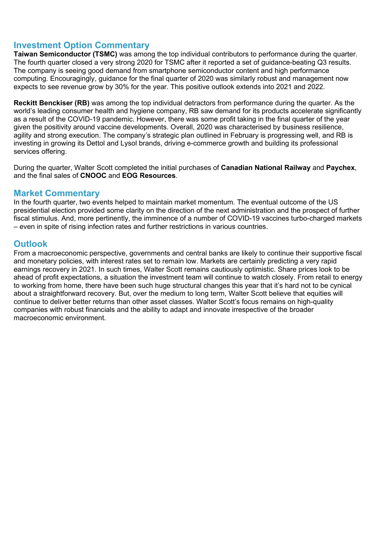### **Investment Option Commentary**

**Taiwan Semiconductor (TSMC)** was among the top individual contributors to performance during the quarter. The fourth quarter closed a very strong 2020 for TSMC after it reported a set of guidance-beating Q3 results. The company is seeing good demand from smartphone semiconductor content and high performance computing. Encouragingly, guidance for the final quarter of 2020 was similarly robust and management now expects to see revenue grow by 30% for the year. This positive outlook extends into 2021 and 2022.

**Reckitt Benckiser (RB)** was among the top individual detractors from performance during the quarter. As the world's leading consumer health and hygiene company. RB saw demand for its products accelerate significantly as a result of the COVID-19 pandemic. However, there was some profit taking in the final quarter of the year given the positivity around vaccine developments. Overall, 2020 was characterised by business resilience, agility and strong execution. The company's strategic plan outlined in February is progressing well, and RB is investing in growing its Dettol and Lysol brands, driving e-commerce growth and building its professional services offering.

During the quarter, Walter Scott completed the initial purchases of **Canadian National Railway** and **Paychex**, and the final sales of **CNOOC** and **EOG Resources**.

#### **Market Commentary**

In the fourth quarter, two events helped to maintain market momentum. The eventual outcome of the US presidential election provided some clarity on the direction of the next administration and the prospect of further fiscal stimulus. And, more pertinently, the imminence of a number of COVID-19 vaccines turbo-charged markets – even in spite of rising infection rates and further restrictions in various countries.

#### **Outlook**

From a macroeconomic perspective, governments and central banks are likely to continue their supportive fiscal and monetary policies, with interest rates set to remain low. Markets are certainly predicting a very rapid earnings recovery in 2021. In such times, Walter Scott remains cautiously optimistic. Share prices look to be ahead of profit expectations, a situation the investment team will continue to watch closely. From retail to energy to working from home, there have been such huge structural changes this year that it's hard not to be cynical about a straightforward recovery. But, over the medium to long term, Walter Scott believe that equities will continue to deliver better returns than other asset classes. Walter Scott's focus remains on high-quality companies with robust financials and the ability to adapt and innovate irrespective of the broader macroeconomic environment.